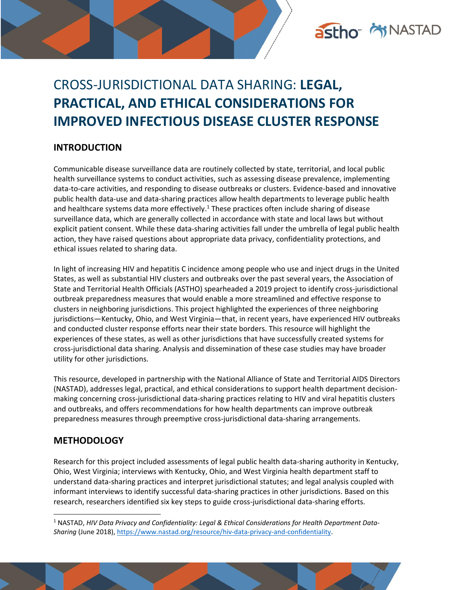

# CROSS-JURISDICTIONAL DATA SHARING: **LEGAL, PRACTICAL, AND ETHICAL CONSIDERATIONS FOR IMPROVED INFECTIOUS DISEASE CLUSTER RESPONSE**

# **INTRODUCTION**

<span id="page-0-0"></span>Communicable disease surveillance data are routinely collected by state, territorial, and local public health surveillance systems to conduct activities, such as assessing disease prevalence, implementing data-to-care activities, and responding to disease outbreaks or clusters. Evidence-based and innovative public health data-use and data-sharing practices allow health departments to leverage public health and healthcare systems data more effectively.<sup>1</sup> These practices often include sharing of disease surveillance data, which are generally collected in accordance with state and local laws but without explicit patient consent. While these data-sharing activities fall under the umbrella of legal public health action, they have raised questions about appropriate data privacy, confidentiality protections, and ethical issues related to sharing data.

In light of increasing HIV and hepatitis C incidence among people who use and inject drugs in the United States, as well as substantial HIV clusters and outbreaks over the past several years, the Association of State and Territorial Health Officials (ASTHO) spearheaded a 2019 project to identify cross-jurisdictional outbreak preparedness measures that would enable a more streamlined and effective response to clusters in neighboring jurisdictions. This project highlighted the experiences of three neighboring jurisdictions—Kentucky, Ohio, and West Virginia—that, in recent years, have experienced HIV outbreaks and conducted cluster response efforts near their state borders. This resource will highlight the experiences of these states, as well as other jurisdictions that have successfully created systems for cross-jurisdictional data sharing. Analysis and dissemination of these case studies may have broader utility for other jurisdictions.

This resource, developed in partnership with the National Alliance of State and Territorial AIDS Directors (NASTAD), addresses legal, practical, and ethical considerations to support health department decisionmaking concerning cross-jurisdictional data-sharing practices relating to HIV and viral hepatitis clusters and outbreaks, and offers recommendations for how health departments can improve outbreak preparedness measures through preemptive cross-jurisdictional data-sharing arrangements.

# **METHODOLOGY**

Research for this project included assessments of legal public health data-sharing authority in Kentucky, Ohio, West Virginia; interviews with Kentucky, Ohio, and West Virginia health department staff to understand data-sharing practices and interpret jurisdictional statutes; and legal analysis coupled with informant interviews to identify successful data-sharing practices in other jurisdictions. Based on this research, researchers identified six key steps to guide cross-jurisdictional data-sharing efforts.

<sup>1</sup> NASTAD, *HIV Data Privacy and Confidentiality: Legal & Ethical Considerations for Health Department Data-Sharing* (June 2018), [https://www.nastad.org/resource/hiv-data-privacy-and-confidentiality.](https://www.nastad.org/resource/hiv-data-privacy-and-confidentiality)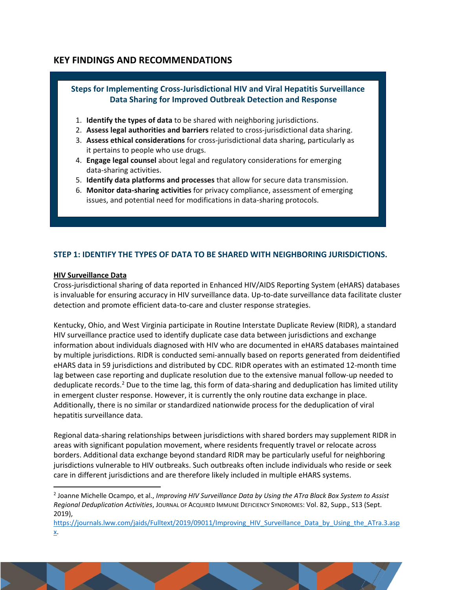# **KEY FINDINGS AND RECOMMENDATIONS**



### **STEP 1: IDENTIFY THE TYPES OF DATA TO BE SHARED WITH NEIGHBORING JURISDICTIONS.**

#### **HIV Surveillance Data**

Cross-jurisdictional sharing of data reported in Enhanced HIV/AIDS Reporting System (eHARS) databases is invaluable for ensuring accuracy in HIV surveillance data. Up-to-date surveillance data facilitate cluster detection and promote efficient data-to-care and cluster response strategies.

Kentucky, Ohio, and West Virginia participate in Routine Interstate Duplicate Review (RIDR), a standard HIV surveillance practice used to identify duplicate case data between jurisdictions and exchange information about individuals diagnosed with HIV who are documented in eHARS databases maintained by multiple jurisdictions. RIDR is conducted semi-annually based on reports generated from deidentified eHARS data in 59 jurisdictions and distributed by CDC. RIDR operates with an estimated 12-month time lag between case reporting and duplicate resolution due to the extensive manual follow-up needed to deduplicate records.<sup>2</sup> Due to the time lag, this form of data-sharing and deduplication has limited utility in emergent cluster response. However, it is currently the only routine data exchange in place. Additionally, there is no similar or standardized nationwide process for the deduplication of viral hepatitis surveillance data.

<span id="page-1-0"></span>Regional data-sharing relationships between jurisdictions with shared borders may supplement RIDR in areas with significant population movement, where residents frequently travel or relocate across borders. Additional data exchange beyond standard RIDR may be particularly useful for neighboring jurisdictions vulnerable to HIV outbreaks. Such outbreaks often include individuals who reside or seek care in different jurisdictions and are therefore likely included in multiple eHARS systems.

<sup>2</sup> Joanne Michelle Ocampo, et al., *Improving HIV Surveillance Data by Using the ATra Black Box System to Assist Regional Deduplication Activities*, JOURNAL OF ACQUIRED IMMUNE DEFICIENCY SYNDROMES: Vol. 82, Supp., S13 (Sept. 2019),

[https://journals.lww.com/jaids/Fulltext/2019/09011/Improving\\_HIV\\_Surveillance\\_Data\\_by\\_Using\\_the\\_ATra.3.asp](https://journals.lww.com/jaids/Fulltext/2019/09011/Improving_HIV_Surveillance_Data_by_Using_the_ATra.3.aspx) [x.](https://journals.lww.com/jaids/Fulltext/2019/09011/Improving_HIV_Surveillance_Data_by_Using_the_ATra.3.aspx)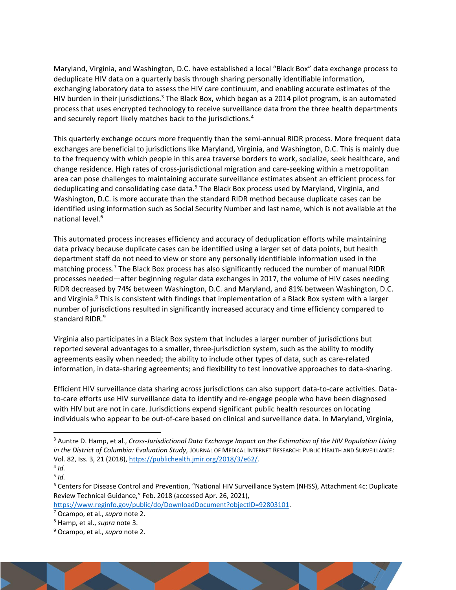<span id="page-2-0"></span>Maryland, Virginia, and Washington, D.C. have established a local "Black Box" data exchange process to deduplicate HIV data on a quarterly basis through sharing personally identifiable information, exchanging laboratory data to assess the HIV care continuum, and enabling accurate estimates of the HIV burden in their jurisdictions.<sup>3</sup> The Black Box, which began as a 2014 pilot program, is an automated process that uses encrypted technology to receive surveillance data from the three health departments and securely report likely matches back to the jurisdictions.<sup>4</sup>

This quarterly exchange occurs more frequently than the semi-annual RIDR process. More frequent data exchanges are beneficial to jurisdictions like Maryland, Virginia, and Washington, D.C. This is mainly due to the frequency with which people in this area traverse borders to work, socialize, seek healthcare, and change residence. High rates of cross-jurisdictional migration and care-seeking within a metropolitan area can pose challenges to maintaining accurate surveillance estimates absent an efficient process for deduplicating and consolidating case data.<sup>5</sup> The Black Box process used by Maryland, Virginia, and Washington, D.C. is more accurate than the standard RIDR method because duplicate cases can be identified using information such as Social Security Number and last name, which is not available at the national level.<sup>6</sup>

This automated process increases efficiency and accuracy of deduplication efforts while maintaining data privacy because duplicate cases can be identified using a larger set of data points, but health department staff do not need to view or store any personally identifiable information used in the matching process.<sup>7</sup> The Black Box process has also significantly reduced the number of manual RIDR processes needed—after beginning regular data exchanges in 2017, the volume of HIV cases needing RIDR decreased by 74% between Washington, D.C. and Maryland, and 81% between Washington, D.C. and Virginia.<sup>8</sup> This is consistent with findings that implementation of a Black Box system with a larger number of jurisdictions resulted in significantly increased accuracy and time efficiency compared to standard RIDR.<sup>9</sup>

Virginia also participates in a Black Box system that includes a larger number of jurisdictions but reported several advantages to a smaller, three-jurisdiction system, such as the ability to modify agreements easily when needed; the ability to include other types of data, such as care-related information, in data-sharing agreements; and flexibility to test innovative approaches to data-sharing.

Efficient HIV surveillance data sharing across jurisdictions can also support data-to-care activities. Datato-care efforts use HIV surveillance data to identify and re-engage people who have been diagnosed with HIV but are not in care. Jurisdictions expend significant public health resources on locating individuals who appear to be out-of-care based on clinical and surveillance data. In Maryland, Virginia,

[https://www.reginfo.gov/public/do/DownloadDocument?objectID=92803101.](https://www.reginfo.gov/public/do/DownloadDocument?objectID=92803101)

<sup>3</sup> Auntre D. Hamp, et al., *Cross-Jurisdictional Data Exchange Impact on the Estimation of the HIV Population Living in the District of Columbia: Evaluation Study*, JOURNAL OF MEDICAL INTERNET RESEARCH: PUBLIC HEALTH AND SURVEILLANCE: Vol. 82, Iss. 3, 21 (2018)[, https://publichealth.jmir.org/2018/3/e62/.](https://publichealth.jmir.org/2018/3/e62/)

<sup>4</sup> *[Id.](https://publichealth.jmir.org/2018/3/e62/)* 5 *[Id.](https://publichealth.jmir.org/2018/3/e62/)*

<sup>6</sup> Centers for Disease Control and Prevention, "National HIV Surveillance System (NHSS), Attachment 4c: Duplicate Review Technical Guidance," Feb. 2018 (accessed Apr. 26, 2021),

<sup>7</sup> Ocampo, et al., *supra* not[e 2.](#page-1-0)

<sup>8</sup> Hamp, et al., *supra* not[e 3.](#page-2-0)

<sup>9</sup> Ocampo, et al., *supra* not[e 2.](#page-1-0)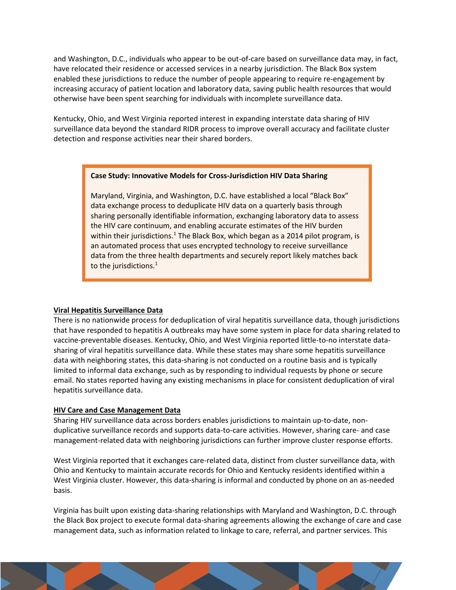and Washington, D.C., individuals who appear to be out-of-care based on surveillance data may, in fact, have relocated their residence or accessed services in a nearby jurisdiction. The Black Box system enabled these jurisdictions to reduce the number of people appearing to require re-engagement by increasing accuracy of patient location and laboratory data, saving public health resources that would otherwise have been spent searching for individuals with incomplete surveillance data.

Kentucky, Ohio, and West Virginia reported interest in expanding interstate data sharing of HIV surveillance data beyond the standard RIDR process to improve overall accuracy and facilitate cluster detection and response activities near their shared borders.

#### **Case Study: Innovative Models for Cross-Jurisdiction HIV Data Sharing**

Maryland, Virginia, and Washington, D.C. have established a local "Black Box" data exchange process to deduplicate HIV data on a quarterly basis through sharing personally identifiable information, exchanging laboratory data to assess the HIV care continuum, and enabling accurate estimates of the HIV burden within their jurisdictions.<sup>1</sup> The Black Box, which began as a 2014 pilot program, is an automated process that uses encrypted technology to receive surveillance data from the three health departments and securely report likely matches back to the jurisdictions.<sup>1</sup>

#### **Viral Hepatitis Surveillance Data**

There is no nationwide process for deduplication of viral hepatitis surveillance data, though jurisdictions that have responded to hepatitis A outbreaks may have some system in place for data sharing related to vaccine-preventable diseases. Kentucky, Ohio, and West Virginia reported little-to-no interstate datasharing of viral hepatitis surveillance data. While these states may share some hepatitis surveillance data with neighboring states, this data-sharing is not conducted on a routine basis and is typically limited to informal data exchange, such as by responding to individual requests by phone or secure email. No states reported having any existing mechanisms in place for consistent deduplication of viral hepatitis surveillance data.

#### **HIV Care and Case Management Data**

Sharing HIV surveillance data across borders enables jurisdictions to maintain up-to-date, nonduplicative surveillance records and supports data-to-care activities. However, sharing care- and case management-related data with neighboring jurisdictions can further improve cluster response efforts.

West Virginia reported that it exchanges care-related data, distinct from cluster surveillance data, with Ohio and Kentucky to maintain accurate records for Ohio and Kentucky residents identified within a West Virginia cluster. However, this data-sharing is informal and conducted by phone on an as-needed basis.

Virginia has built upon existing data-sharing relationships with Maryland and Washington, D.C. through the Black Box project to execute formal data-sharing agreements allowing the exchange of care and case management data, such as information related to linkage to care, referral, and partner services. This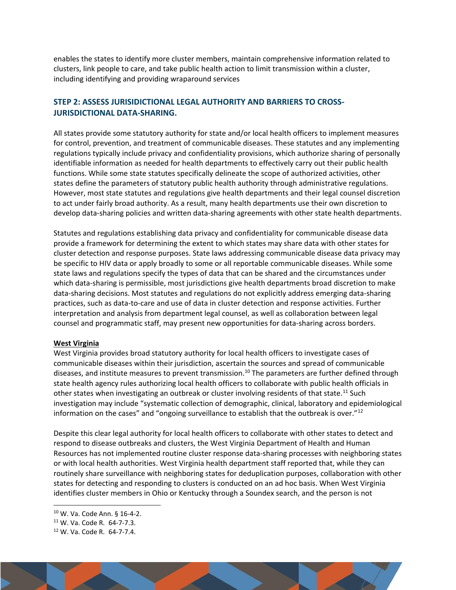enables the states to identify more cluster members, maintain comprehensive information related to clusters, link people to care, and take public health action to limit transmission within a cluster, including identifying and providing wraparound services

## **STEP 2: ASSESS JURISIDICTIONAL LEGAL AUTHORITY AND BARRIERS TO CROSS-JURISDICTIONAL DATA-SHARING.**

All states provide some statutory authority for state and/or local health officers to implement measures for control, prevention, and treatment of communicable diseases. These statutes and any implementing regulations typically include privacy and confidentiality provisions, which authorize sharing of personally identifiable information as needed for health departments to effectively carry out their public health functions. While some state statutes specifically delineate the scope of authorized activities, other states define the parameters of statutory public health authority through administrative regulations. However, most state statutes and regulations give health departments and their legal counsel discretion to act under fairly broad authority. As a result, many health departments use their own discretion to develop data-sharing policies and written data-sharing agreements with other state health departments.

Statutes and regulations establishing data privacy and confidentiality for communicable disease data provide a framework for determining the extent to which states may share data with other states for cluster detection and response purposes. State laws addressing communicable disease data privacy may be specific to HIV data or apply broadly to some or all reportable communicable diseases. While some state laws and regulations specify the types of data that can be shared and the circumstances under which data-sharing is permissible, most jurisdictions give health departments broad discretion to make data-sharing decisions. Most statutes and regulations do not explicitly address emerging data-sharing practices, such as data-to-care and use of data in cluster detection and response activities. Further interpretation and analysis from department legal counsel, as well as collaboration between legal counsel and programmatic staff, may present new opportunities for data-sharing across borders.

#### **West Virginia**

West Virginia provides broad statutory authority for local health officers to investigate cases of communicable diseases within their jurisdiction, ascertain the sources and spread of communicable diseases, and institute measures to prevent transmission.<sup>10</sup> The parameters are further defined through state health agency rules authorizing local health officers to collaborate with public health officials in other states when investigating an outbreak or cluster involving residents of that state.<sup>11</sup> Such investigation may include "systematic collection of demographic, clinical, laboratory and epidemiological information on the cases" and "ongoing surveillance to establish that the outbreak is over."<sup>12</sup>

Despite this clear legal authority for local health officers to collaborate with other states to detect and respond to disease outbreaks and clusters, the West Virginia Department of Health and Human Resources has not implemented routine cluster response data-sharing processes with neighboring states or with local health authorities. West Virginia health department staff reported that, while they can routinely share surveillance with neighboring states for deduplication purposes, collaboration with other states for detecting and responding to clusters is conducted on an ad hoc basis. When West Virginia identifies cluster members in Ohio or Kentucky through a Soundex search, and the person is not

<sup>12</sup> W. Va. Code R. 64-7-7.4.



<sup>10</sup> W. Va. Code Ann. § 16-4-2.

<sup>11</sup> W. Va. Code R. 64-7-7.3.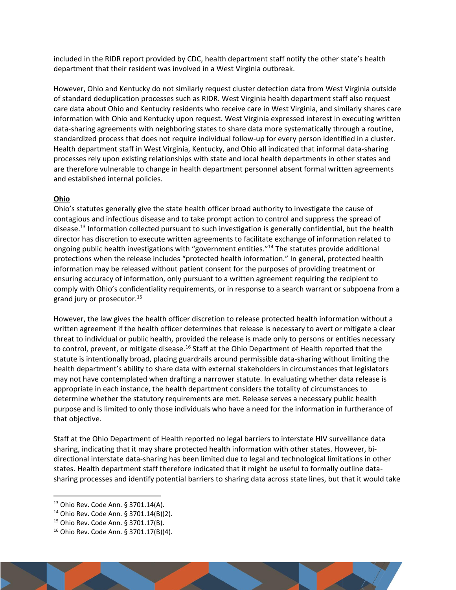included in the RIDR report provided by CDC, health department staff notify the other state's health department that their resident was involved in a West Virginia outbreak.

However, Ohio and Kentucky do not similarly request cluster detection data from West Virginia outside of standard deduplication processes such as RIDR. West Virginia health department staff also request care data about Ohio and Kentucky residents who receive care in West Virginia, and similarly shares care information with Ohio and Kentucky upon request. West Virginia expressed interest in executing written data-sharing agreements with neighboring states to share data more systematically through a routine, standardized process that does not require individual follow-up for every person identified in a cluster. Health department staff in West Virginia, Kentucky, and Ohio all indicated that informal data-sharing processes rely upon existing relationships with state and local health departments in other states and are therefore vulnerable to change in health department personnel absent formal written agreements and established internal policies.

#### **Ohio**

Ohio's statutes generally give the state health officer broad authority to investigate the cause of contagious and infectious disease and to take prompt action to control and suppress the spread of disease.<sup>13</sup> Information collected pursuant to such investigation is generally confidential, but the health director has discretion to execute written agreements to facilitate exchange of information related to ongoing public health investigations with "government entities."<sup>14</sup> The statutes provide additional protections when the release includes "protected health information." In general, protected health information may be released without patient consent for the purposes of providing treatment or ensuring accuracy of information, only pursuant to a written agreement requiring the recipient to comply with Ohio's confidentiality requirements, or in response to a search warrant or subpoena from a grand jury or prosecutor.<sup>15</sup>

However, the law gives the health officer discretion to release protected health information without a written agreement if the health officer determines that release is necessary to avert or mitigate a clear threat to individual or public health, provided the release is made only to persons or entities necessary to control, prevent, or mitigate disease.<sup>16</sup> Staff at the Ohio Department of Health reported that the statute is intentionally broad, placing guardrails around permissible data-sharing without limiting the health department's ability to share data with external stakeholders in circumstances that legislators may not have contemplated when drafting a narrower statute. In evaluating whether data release is appropriate in each instance, the health department considers the totality of circumstances to determine whether the statutory requirements are met. Release serves a necessary public health purpose and is limited to only those individuals who have a need for the information in furtherance of that objective.

Staff at the Ohio Department of Health reported no legal barriers to interstate HIV surveillance data sharing, indicating that it may share protected health information with other states. However, bidirectional interstate data-sharing has been limited due to legal and technological limitations in other states. Health department staff therefore indicated that it might be useful to formally outline datasharing processes and identify potential barriers to sharing data across state lines, but that it would take

<sup>13</sup> Ohio Rev. Code Ann. § 3701.14(A).

<sup>14</sup> Ohio Rev. Code Ann. § 3701.14(B)(2).

<sup>15</sup> Ohio Rev. Code Ann. § 3701.17(B).

<sup>16</sup> Ohio Rev. Code Ann. § 3701.17(B)(4).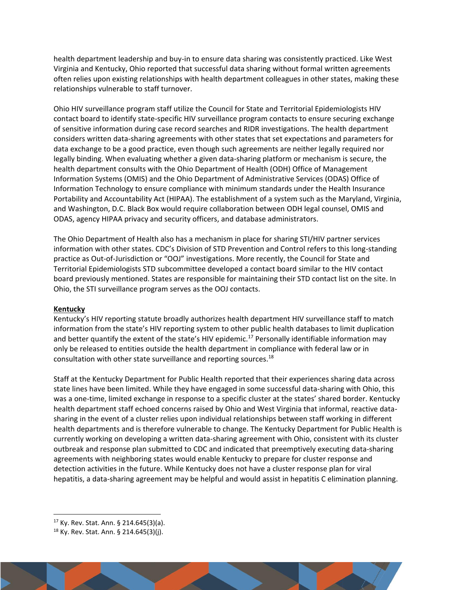health department leadership and buy-in to ensure data sharing was consistently practiced. Like West Virginia and Kentucky, Ohio reported that successful data sharing without formal written agreements often relies upon existing relationships with health department colleagues in other states, making these relationships vulnerable to staff turnover.

Ohio HIV surveillance program staff utilize the Council for State and Territorial Epidemiologists HIV contact board to identify state-specific HIV surveillance program contacts to ensure securing exchange of sensitive information during case record searches and RIDR investigations. The health department considers written data-sharing agreements with other states that set expectations and parameters for data exchange to be a good practice, even though such agreements are neither legally required nor legally binding. When evaluating whether a given data-sharing platform or mechanism is secure, the health department consults with the Ohio Department of Health (ODH) Office of Management Information Systems (OMIS) and the Ohio Department of Administrative Services (ODAS) Office of Information Technology to ensure compliance with minimum standards under the Health Insurance Portability and Accountability Act (HIPAA). The establishment of a system such as the Maryland, Virginia, and Washington, D.C. Black Box would require collaboration between ODH legal counsel, OMIS and ODAS, agency HIPAA privacy and security officers, and database administrators.

The Ohio Department of Health also has a mechanism in place for sharing STI/HIV partner services information with other states. CDC's Division of STD Prevention and Control refers to this long-standing practice as Out-of-Jurisdiction or "OOJ" investigations. More recently, the Council for State and Territorial Epidemiologists STD subcommittee developed a contact board similar to the HIV contact board previously mentioned. States are responsible for maintaining their STD contact list on the site. In Ohio, the STI surveillance program serves as the OOJ contacts.

#### **Kentucky**

Kentucky's HIV reporting statute broadly authorizes health department HIV surveillance staff to match information from the state's HIV reporting system to other public health databases to limit duplication and better quantify the extent of the state's HIV epidemic.<sup>17</sup> Personally identifiable information may only be released to entities outside the health department in compliance with federal law or in consultation with other state surveillance and reporting sources.<sup>18</sup>

Staff at the Kentucky Department for Public Health reported that their experiences sharing data across state lines have been limited. While they have engaged in some successful data-sharing with Ohio, this was a one-time, limited exchange in response to a specific cluster at the states' shared border. Kentucky health department staff echoed concerns raised by Ohio and West Virginia that informal, reactive datasharing in the event of a cluster relies upon individual relationships between staff working in different health departments and is therefore vulnerable to change. The Kentucky Department for Public Health is currently working on developing a written data-sharing agreement with Ohio, consistent with its cluster outbreak and response plan submitted to CDC and indicated that preemptively executing data-sharing agreements with neighboring states would enable Kentucky to prepare for cluster response and detection activities in the future. While Kentucky does not have a cluster response plan for viral hepatitis, a data-sharing agreement may be helpful and would assist in hepatitis C elimination planning.

<sup>18</sup> Ky. Rev. Stat. Ann. § 214.645(3)(j).



<sup>17</sup> Ky. Rev. Stat. Ann. § 214.645(3)(a).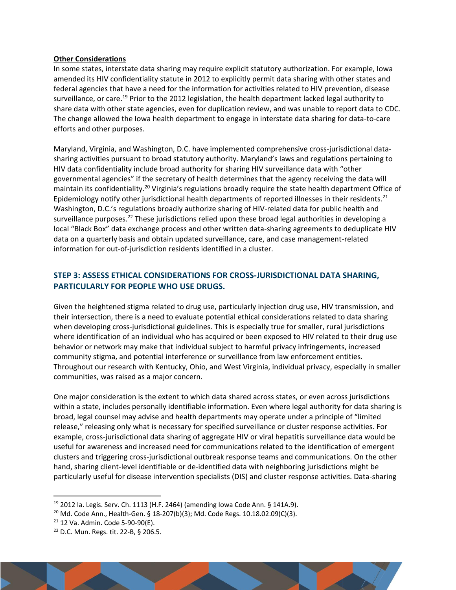#### **Other Considerations**

In some states, interstate data sharing may require explicit statutory authorization. For example, Iowa amended its HIV confidentiality statute in 2012 to explicitly permit data sharing with other states and federal agencies that have a need for the information for activities related to HIV prevention, disease surveillance, or care.<sup>19</sup> Prior to the 2012 legislation, the health department lacked legal authority to share data with other state agencies, even for duplication review, and was unable to report data to CDC. The change allowed the Iowa health department to engage in interstate data sharing for data-to-care efforts and other purposes.

Maryland, Virginia, and Washington, D.C. have implemented comprehensive cross-jurisdictional datasharing activities pursuant to broad statutory authority. Maryland's laws and regulations pertaining to HIV data confidentiality include broad authority for sharing HIV surveillance data with "other governmental agencies" if the secretary of health determines that the agency receiving the data will maintain its confidentiality.<sup>20</sup> Virginia's regulations broadly require the state health department Office of Epidemiology notify other jurisdictional health departments of reported illnesses in their residents.<sup>21</sup> Washington, D.C.'s regulations broadly authorize sharing of HIV-related data for public health and surveillance purposes.<sup>22</sup> These jurisdictions relied upon these broad legal authorities in developing a local "Black Box" data exchange process and other written data-sharing agreements to deduplicate HIV data on a quarterly basis and obtain updated surveillance, care, and case management-related information for out-of-jurisdiction residents identified in a cluster.

## **STEP 3: ASSESS ETHICAL CONSIDERATIONS FOR CROSS-JURISDICTIONAL DATA SHARING, PARTICULARLY FOR PEOPLE WHO USE DRUGS.**

Given the heightened stigma related to drug use, particularly injection drug use, HIV transmission, and their intersection, there is a need to evaluate potential ethical considerations related to data sharing when developing cross-jurisdictional guidelines. This is especially true for smaller, rural jurisdictions where identification of an individual who has acquired or been exposed to HIV related to their drug use behavior or network may make that individual subject to harmful privacy infringements, increased community stigma, and potential interference or surveillance from law enforcement entities. Throughout our research with Kentucky, Ohio, and West Virginia, individual privacy, especially in smaller communities, was raised as a major concern.

One major consideration is the extent to which data shared across states, or even across jurisdictions within a state, includes personally identifiable information. Even where legal authority for data sharing is broad, legal counsel may advise and health departments may operate under a principle of "limited release," releasing only what is necessary for specified surveillance or cluster response activities. For example, cross-jurisdictional data sharing of aggregate HIV or viral hepatitis surveillance data would be useful for awareness and increased need for communications related to the identification of emergent clusters and triggering cross-jurisdictional outbreak response teams and communications. On the other hand, sharing client-level identifiable or de-identified data with neighboring jurisdictions might be particularly useful for disease intervention specialists (DIS) and cluster response activities. Data-sharing

<sup>22</sup> D.C. Mun. Regs. tit. 22-B, § 206.5.



<sup>19</sup> 2012 Ia. Legis. Serv. Ch. 1113 (H.F. 2464) (amending Iowa Code Ann. § 141A.9).

<sup>20</sup> Md. Code Ann., Health-Gen. § 18-207(b)(3); Md. Code Regs. 10.18.02.09(C)(3).

 $21$  12 Va. Admin. Code 5-90-90(E).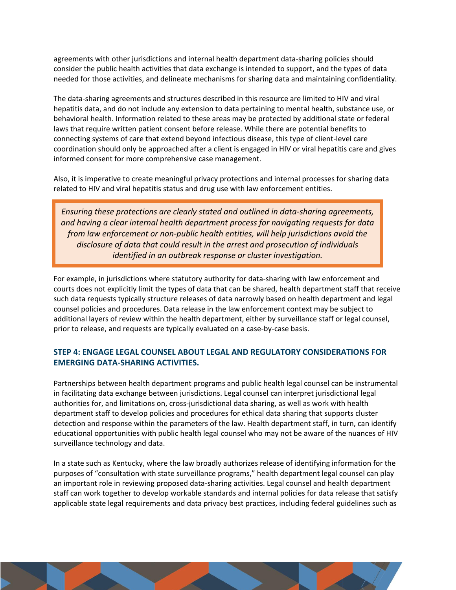agreements with other jurisdictions and internal health department data-sharing policies should consider the public health activities that data exchange is intended to support, and the types of data needed for those activities, and delineate mechanisms for sharing data and maintaining confidentiality.

The data-sharing agreements and structures described in this resource are limited to HIV and viral hepatitis data, and do not include any extension to data pertaining to mental health, substance use, or behavioral health. Information related to these areas may be protected by additional state or federal laws that require written patient consent before release. While there are potential benefits to connecting systems of care that extend beyond infectious disease, this type of client-level care coordination should only be approached after a client is engaged in HIV or viral hepatitis care and gives informed consent for more comprehensive case management.

Also, it is imperative to create meaningful privacy protections and internal processes for sharing data related to HIV and viral hepatitis status and drug use with law enforcement entities.

*Ensuring these protections are clearly stated and outlined in data-sharing agreements, and having a clear internal health department process for navigating requests for data from law enforcement or non-public health entities, will help jurisdictions avoid the disclosure of data that could result in the arrest and prosecution of individuals identified in an outbreak response or cluster investigation.*

For example, in jurisdictions where statutory authority for data-sharing with law enforcement and courts does not explicitly limit the types of data that can be shared, health department staff that receive such data requests typically structure releases of data narrowly based on health department and legal counsel policies and procedures. Data release in the law enforcement context may be subject to additional layers of review within the health department, either by surveillance staff or legal counsel, prior to release, and requests are typically evaluated on a case-by-case basis.

## **STEP 4: ENGAGE LEGAL COUNSEL ABOUT LEGAL AND REGULATORY CONSIDERATIONS FOR EMERGING DATA-SHARING ACTIVITIES.**

Partnerships between health department programs and public health legal counsel can be instrumental in facilitating data exchange between jurisdictions. Legal counsel can interpret jurisdictional legal authorities for, and limitations on, cross-jurisdictional data sharing, as well as work with health department staff to develop policies and procedures for ethical data sharing that supports cluster detection and response within the parameters of the law. Health department staff, in turn, can identify educational opportunities with public health legal counsel who may not be aware of the nuances of HIV surveillance technology and data.

In a state such as Kentucky, where the law broadly authorizes release of identifying information for the purposes of "consultation with state surveillance programs," health department legal counsel can play an important role in reviewing proposed data-sharing activities. Legal counsel and health department staff can work together to develop workable standards and internal policies for data release that satisfy applicable state legal requirements and data privacy best practices, including federal guidelines such as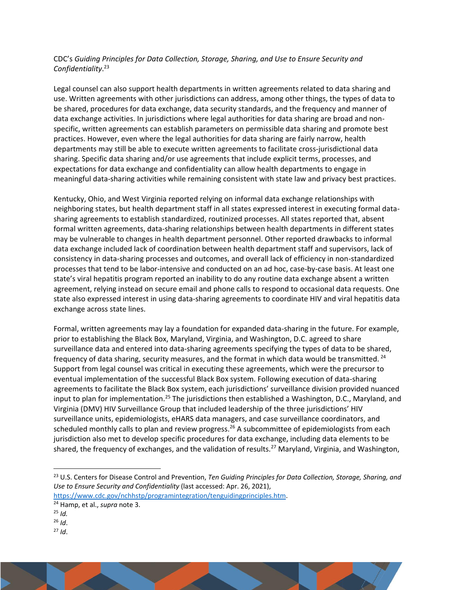## CDC's *Guiding Principles for Data Collection, Storage, Sharing, and Use to Ensure Security and Confidentiality*. 23

Legal counsel can also support health departments in written agreements related to data sharing and use. Written agreements with other jurisdictions can address, among other things, the types of data to be shared, procedures for data exchange, data security standards, and the frequency and manner of data exchange activities. In jurisdictions where legal authorities for data sharing are broad and nonspecific, written agreements can establish parameters on permissible data sharing and promote best practices. However, even where the legal authorities for data sharing are fairly narrow, health departments may still be able to execute written agreements to facilitate cross-jurisdictional data sharing. Specific data sharing and/or use agreements that include explicit terms, processes, and expectations for data exchange and confidentiality can allow health departments to engage in meaningful data-sharing activities while remaining consistent with state law and privacy best practices.

Kentucky, Ohio, and West Virginia reported relying on informal data exchange relationships with neighboring states, but health department staff in all states expressed interest in executing formal datasharing agreements to establish standardized, routinized processes. All states reported that, absent formal written agreements, data-sharing relationships between health departments in different states may be vulnerable to changes in health department personnel. Other reported drawbacks to informal data exchange included lack of coordination between health department staff and supervisors, lack of consistency in data-sharing processes and outcomes, and overall lack of efficiency in non-standardized processes that tend to be labor-intensive and conducted on an ad hoc, case-by-case basis. At least one state's viral hepatitis program reported an inability to do any routine data exchange absent a written agreement, relying instead on secure email and phone calls to respond to occasional data requests. One state also expressed interest in using data-sharing agreements to coordinate HIV and viral hepatitis data exchange across state lines.

Formal, written agreements may lay a foundation for expanded data-sharing in the future. For example, prior to establishing the Black Box, Maryland, Virginia, and Washington, D.C. agreed to share surveillance data and entered into data-sharing agreements specifying the types of data to be shared, frequency of data sharing, security measures, and the format in which data would be transmitted. <sup>24</sup> Support from legal counsel was critical in executing these agreements, which were the precursor to eventual implementation of the successful Black Box system. Following execution of data-sharing agreements to facilitate the Black Box system, each jurisdictions' surveillance division provided nuanced input to plan for implementation.<sup>25</sup> The jurisdictions then established a Washington, D.C., Maryland, and Virginia (DMV) HIV Surveillance Group that included leadership of the three jurisdictions' HIV surveillance units, epidemiologists, eHARS data managers, and case surveillance coordinators, and scheduled monthly calls to plan and review progress.<sup>26</sup> A subcommittee of epidemiologists from each jurisdiction also met to develop specific procedures for data exchange, including data elements to be shared, the frequency of exchanges, and the validation of results.<sup>27</sup> Maryland, Virginia, and Washington,

<sup>27</sup> *Id*.



<sup>23</sup> U.S. Centers for Disease Control and Prevention, *Ten Guiding Principles for Data Collection, Storage, Sharing, and Use to Ensure Security and Confidentiality* (last accessed: Apr. 26, 2021), [https://www.cdc.gov/nchhstp/programintegration/tenguidingprinciples.htm.](https://www.cdc.gov/nchhstp/programintegration/tenguidingprinciples.htm)

<sup>24</sup> Hamp, et al., *supra* note [3.](#page-2-0)

<sup>25</sup> *[Id.](https://publichealth.jmir.org/2018/3/e62/)*

<sup>26</sup> *Id*.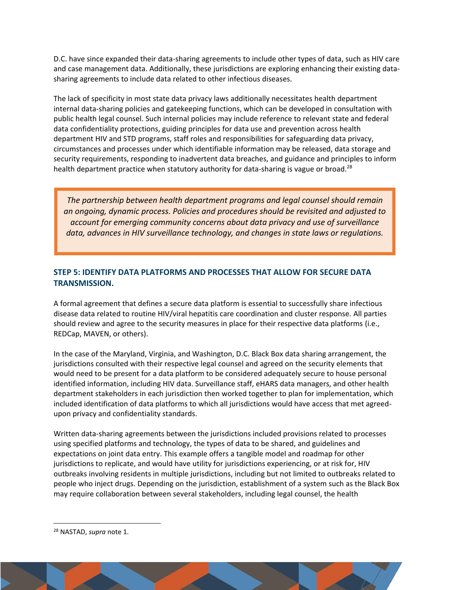D.C. have since expanded their data-sharing agreements to include other types of data, such as HIV care and case management data. Additionally, these jurisdictions are exploring enhancing their existing datasharing agreements to include data related to other infectious diseases.

The lack of specificity in most state data privacy laws additionally necessitates health department internal data-sharing policies and gatekeeping functions, which can be developed in consultation with public health legal counsel. Such internal policies may include reference to relevant state and federal data confidentiality protections, guiding principles for data use and prevention across health department HIV and STD programs, staff roles and responsibilities for safeguarding data privacy, circumstances and processes under which identifiable information may be released, data storage and security requirements, responding to inadvertent data breaches, and guidance and principles to inform health department practice when statutory authority for data-sharing is vague or broad.<sup>28</sup>

*The partnership between health department programs and legal counsel should remain an ongoing, dynamic process. Policies and procedures should be revisited and adjusted to account for emerging community concerns about data privacy and use of surveillance data, advances in HIV surveillance technology, and changes in state laws or regulations.*

## **STEP 5: IDENTIFY DATA PLATFORMS AND PROCESSES THAT ALLOW FOR SECURE DATA TRANSMISSION.**

A formal agreement that defines a secure data platform is essential to successfully share infectious disease data related to routine HIV/viral hepatitis care coordination and cluster response. All parties should review and agree to the security measures in place for their respective data platforms (i.e., REDCap, MAVEN, or others).

In the case of the Maryland, Virginia, and Washington, D.C. Black Box data sharing arrangement, the jurisdictions consulted with their respective legal counsel and agreed on the security elements that would need to be present for a data platform to be considered adequately secure to house personal identified information, including HIV data. Surveillance staff, eHARS data managers, and other health department stakeholders in each jurisdiction then worked together to plan for implementation, which included identification of data platforms to which all jurisdictions would have access that met agreedupon privacy and confidentiality standards.

Written data-sharing agreements between the jurisdictions included provisions related to processes using specified platforms and technology, the types of data to be shared, and guidelines and expectations on joint data entry. This example offers a tangible model and roadmap for other jurisdictions to replicate, and would have utility for jurisdictions experiencing, or at risk for, HIV outbreaks involving residents in multiple jurisdictions, including but not limited to outbreaks related to people who inject drugs. Depending on the jurisdiction, establishment of a system such as the Black Box may require collaboration between several stakeholders, including legal counsel, the health

<sup>28</sup> NASTAD, *supra* not[e 1.](#page-0-0)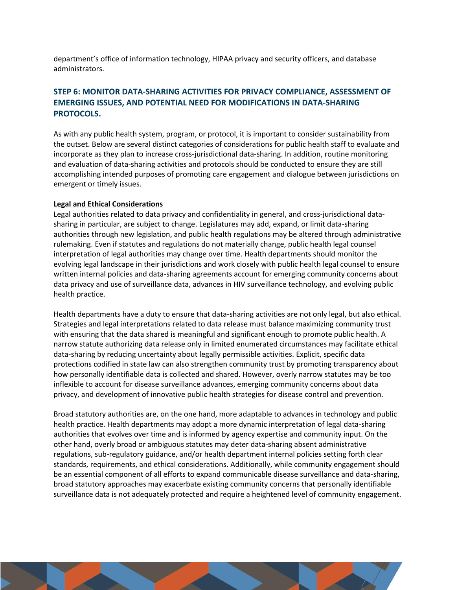department's office of information technology, HIPAA privacy and security officers, and database administrators.

## **STEP 6: MONITOR DATA-SHARING ACTIVITIES FOR PRIVACY COMPLIANCE, ASSESSMENT OF EMERGING ISSUES, AND POTENTIAL NEED FOR MODIFICATIONS IN DATA-SHARING PROTOCOLS.**

As with any public health system, program, or protocol, it is important to consider sustainability from the outset. Below are several distinct categories of considerations for public health staff to evaluate and incorporate as they plan to increase cross-jurisdictional data-sharing. In addition, routine monitoring and evaluation of data-sharing activities and protocols should be conducted to ensure they are still accomplishing intended purposes of promoting care engagement and dialogue between jurisdictions on emergent or timely issues.

#### **Legal and Ethical Considerations**

Legal authorities related to data privacy and confidentiality in general, and cross-jurisdictional datasharing in particular, are subject to change. Legislatures may add, expand, or limit data-sharing authorities through new legislation, and public health regulations may be altered through administrative rulemaking. Even if statutes and regulations do not materially change, public health legal counsel interpretation of legal authorities may change over time. Health departments should monitor the evolving legal landscape in their jurisdictions and work closely with public health legal counsel to ensure written internal policies and data-sharing agreements account for emerging community concerns about data privacy and use of surveillance data, advances in HIV surveillance technology, and evolving public health practice.

Health departments have a duty to ensure that data-sharing activities are not only legal, but also ethical. Strategies and legal interpretations related to data release must balance maximizing community trust with ensuring that the data shared is meaningful and significant enough to promote public health. A narrow statute authorizing data release only in limited enumerated circumstances may facilitate ethical data-sharing by reducing uncertainty about legally permissible activities. Explicit, specific data protections codified in state law can also strengthen community trust by promoting transparency about how personally identifiable data is collected and shared. However, overly narrow statutes may be too inflexible to account for disease surveillance advances, emerging community concerns about data privacy, and development of innovative public health strategies for disease control and prevention.

Broad statutory authorities are, on the one hand, more adaptable to advances in technology and public health practice. Health departments may adopt a more dynamic interpretation of legal data-sharing authorities that evolves over time and is informed by agency expertise and community input. On the other hand, overly broad or ambiguous statutes may deter data-sharing absent administrative regulations, sub-regulatory guidance, and/or health department internal policies setting forth clear standards, requirements, and ethical considerations. Additionally, while community engagement should be an essential component of all efforts to expand communicable disease surveillance and data-sharing, broad statutory approaches may exacerbate existing community concerns that personally identifiable surveillance data is not adequately protected and require a heightened level of community engagement.

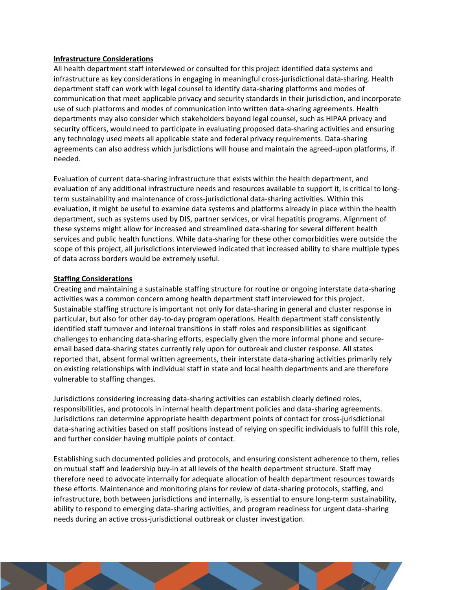#### **Infrastructure Considerations**

All health department staff interviewed or consulted for this project identified data systems and infrastructure as key considerations in engaging in meaningful cross-jurisdictional data-sharing. Health department staff can work with legal counsel to identify data-sharing platforms and modes of communication that meet applicable privacy and security standards in their jurisdiction, and incorporate use of such platforms and modes of communication into written data-sharing agreements. Health departments may also consider which stakeholders beyond legal counsel, such as HIPAA privacy and security officers, would need to participate in evaluating proposed data-sharing activities and ensuring any technology used meets all applicable state and federal privacy requirements. Data-sharing agreements can also address which jurisdictions will house and maintain the agreed-upon platforms, if needed.

Evaluation of current data-sharing infrastructure that exists within the health department, and evaluation of any additional infrastructure needs and resources available to support it, is critical to longterm sustainability and maintenance of cross-jurisdictional data-sharing activities. Within this evaluation, it might be useful to examine data systems and platforms already in place within the health department, such as systems used by DIS, partner services, or viral hepatitis programs. Alignment of these systems might allow for increased and streamlined data-sharing for several different health services and public health functions. While data-sharing for these other comorbidities were outside the scope of this project, all jurisdictions interviewed indicated that increased ability to share multiple types of data across borders would be extremely useful.

#### **Staffing Considerations**

Creating and maintaining a sustainable staffing structure for routine or ongoing interstate data-sharing activities was a common concern among health department staff interviewed for this project. Sustainable staffing structure is important not only for data-sharing in general and cluster response in particular, but also for other day-to-day program operations. Health department staff consistently identified staff turnover and internal transitions in staff roles and responsibilities as significant challenges to enhancing data-sharing efforts, especially given the more informal phone and secureemail based data-sharing states currently rely upon for outbreak and cluster response. All states reported that, absent formal written agreements, their interstate data-sharing activities primarily rely on existing relationships with individual staff in state and local health departments and are therefore vulnerable to staffing changes.

Jurisdictions considering increasing data-sharing activities can establish clearly defined roles, responsibilities, and protocols in internal health department policies and data-sharing agreements. Jurisdictions can determine appropriate health department points of contact for cross-jurisdictional data-sharing activities based on staff positions instead of relying on specific individuals to fulfill this role, and further consider having multiple points of contact.

Establishing such documented policies and protocols, and ensuring consistent adherence to them, relies on mutual staff and leadership buy-in at all levels of the health department structure. Staff may therefore need to advocate internally for adequate allocation of health department resources towards these efforts. Maintenance and monitoring plans for review of data-sharing protocols, staffing, and infrastructure, both between jurisdictions and internally, is essential to ensure long-term sustainability, ability to respond to emerging data-sharing activities, and program readiness for urgent data-sharing needs during an active cross-jurisdictional outbreak or cluster investigation.